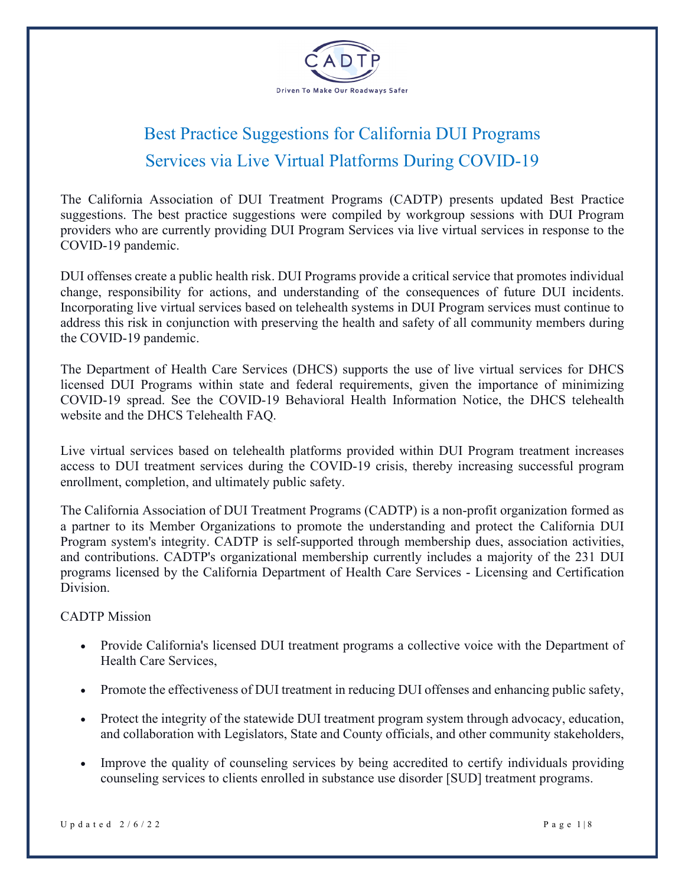

## Best Practice Suggestions for California DUI Programs Services via Live Virtual Platforms During COVID-19

The California Association of DUI Treatment Programs (CADTP) presents updated Best Practice suggestions. The best practice suggestions were compiled by workgroup sessions with DUI Program providers who are currently providing DUI Program Services via live virtual services in response to the COVID-19 pandemic.

DUI offenses create a public health risk. DUI Programs provide a critical service that promotes individual change, responsibility for actions, and understanding of the consequences of future DUI incidents. Incorporating live virtual services based on telehealth systems in DUI Program services must continue to address this risk in conjunction with preserving the health and safety of all community members during the COVID-19 pandemic.

The Department of Health Care Services (DHCS) supports the use of live virtual services for DHCS licensed DUI Programs within state and federal requirements, given the importance of minimizing COVID-19 spread. See the COVID-19 Behavioral Health Information Notice, the DHCS telehealth website and the DHCS Telehealth FAQ.

Live virtual services based on telehealth platforms provided within DUI Program treatment increases access to DUI treatment services during the COVID-19 crisis, thereby increasing successful program enrollment, completion, and ultimately public safety.

The California Association of DUI Treatment Programs (CADTP) is a non-profit organization formed as a partner to its Member Organizations to promote the understanding and protect the California DUI Program system's integrity. CADTP is self-supported through membership dues, association activities, and contributions. CADTP's organizational membership currently includes a majority of the 231 DUI programs licensed by the California Department of Health Care Services - Licensing and Certification Division.

## CADTP Mission

- Provide California's licensed DUI treatment programs a collective voice with the Department of Health Care Services,
- Promote the effectiveness of DUI treatment in reducing DUI offenses and enhancing public safety,
- Protect the integrity of the statewide DUI treatment program system through advocacy, education, and collaboration with Legislators, State and County officials, and other community stakeholders,
- Improve the quality of counseling services by being accredited to certify individuals providing counseling services to clients enrolled in substance use disorder [SUD] treatment programs.

Updated  $2/6/22$  Page 1 | 8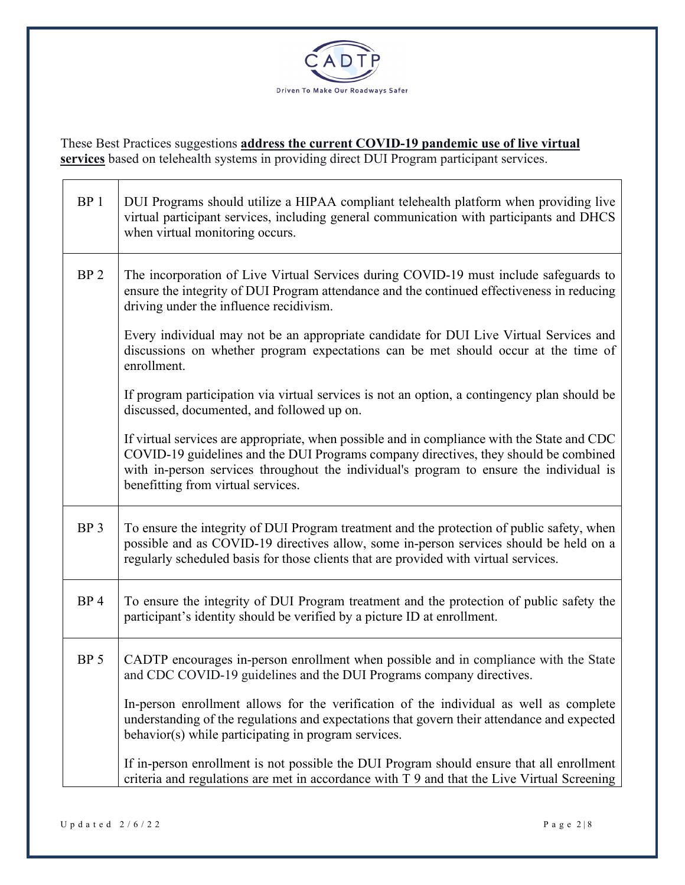

These Best Practices suggestions **address the current COVID-19 pandemic use of live virtual services** based on telehealth systems in providing direct DUI Program participant services.

| BP <sub>1</sub> | DUI Programs should utilize a HIPAA compliant telehealth platform when providing live<br>virtual participant services, including general communication with participants and DHCS<br>when virtual monitoring occurs.                                                                                                 |
|-----------------|----------------------------------------------------------------------------------------------------------------------------------------------------------------------------------------------------------------------------------------------------------------------------------------------------------------------|
| BP <sub>2</sub> | The incorporation of Live Virtual Services during COVID-19 must include safeguards to<br>ensure the integrity of DUI Program attendance and the continued effectiveness in reducing<br>driving under the influence recidivism.                                                                                       |
|                 | Every individual may not be an appropriate candidate for DUI Live Virtual Services and<br>discussions on whether program expectations can be met should occur at the time of<br>enrollment.                                                                                                                          |
|                 | If program participation via virtual services is not an option, a contingency plan should be<br>discussed, documented, and followed up on.                                                                                                                                                                           |
|                 | If virtual services are appropriate, when possible and in compliance with the State and CDC<br>COVID-19 guidelines and the DUI Programs company directives, they should be combined<br>with in-person services throughout the individual's program to ensure the individual is<br>benefitting from virtual services. |
| BP <sub>3</sub> | To ensure the integrity of DUI Program treatment and the protection of public safety, when<br>possible and as COVID-19 directives allow, some in-person services should be held on a<br>regularly scheduled basis for those clients that are provided with virtual services.                                         |
| BP <sub>4</sub> | To ensure the integrity of DUI Program treatment and the protection of public safety the<br>participant's identity should be verified by a picture ID at enrollment.                                                                                                                                                 |
| BP <sub>5</sub> | CADTP encourages in-person enrollment when possible and in compliance with the State<br>and CDC COVID-19 guidelines and the DUI Programs company directives.                                                                                                                                                         |
|                 | In-person enrollment allows for the verification of the individual as well as complete<br>understanding of the regulations and expectations that govern their attendance and expected<br>behavior(s) while participating in program services.                                                                        |
|                 | If in-person enrollment is not possible the DUI Program should ensure that all enrollment<br>criteria and regulations are met in accordance with T 9 and that the Live Virtual Screening                                                                                                                             |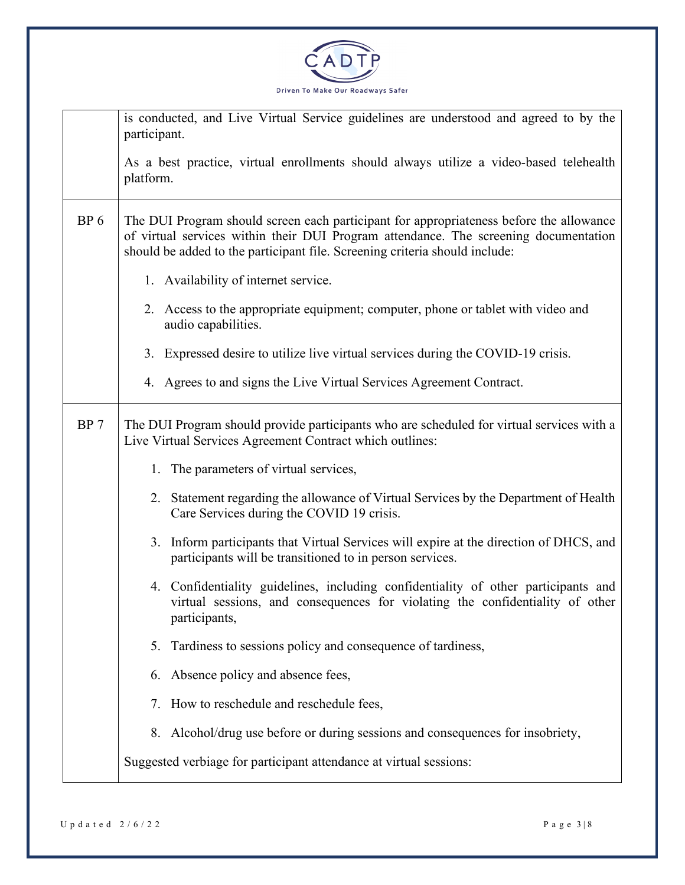

|                 | is conducted, and Live Virtual Service guidelines are understood and agreed to by the<br>participant.                                                                                                                                                          |
|-----------------|----------------------------------------------------------------------------------------------------------------------------------------------------------------------------------------------------------------------------------------------------------------|
|                 | As a best practice, virtual enrollments should always utilize a video-based telehealth<br>platform.                                                                                                                                                            |
| BP <sub>6</sub> | The DUI Program should screen each participant for appropriateness before the allowance<br>of virtual services within their DUI Program attendance. The screening documentation<br>should be added to the participant file. Screening criteria should include: |
|                 | 1. Availability of internet service.                                                                                                                                                                                                                           |
|                 | 2. Access to the appropriate equipment; computer, phone or tablet with video and<br>audio capabilities.                                                                                                                                                        |
|                 | 3. Expressed desire to utilize live virtual services during the COVID-19 crisis.                                                                                                                                                                               |
|                 | 4. Agrees to and signs the Live Virtual Services Agreement Contract.                                                                                                                                                                                           |
| BP 7            | The DUI Program should provide participants who are scheduled for virtual services with a<br>Live Virtual Services Agreement Contract which outlines:                                                                                                          |
|                 | 1. The parameters of virtual services,                                                                                                                                                                                                                         |
|                 | 2. Statement regarding the allowance of Virtual Services by the Department of Health<br>Care Services during the COVID 19 crisis.                                                                                                                              |
|                 | 3. Inform participants that Virtual Services will expire at the direction of DHCS, and<br>participants will be transitioned to in person services.                                                                                                             |
|                 | 4. Confidentiality guidelines, including confidentiality of other participants and<br>virtual sessions, and consequences for violating the confidentiality of other<br>participants,                                                                           |
|                 | Tardiness to sessions policy and consequence of tardiness,<br>5.                                                                                                                                                                                               |
|                 | Absence policy and absence fees,<br>6.                                                                                                                                                                                                                         |
|                 | How to reschedule and reschedule fees,<br>7.                                                                                                                                                                                                                   |
|                 | Alcohol/drug use before or during sessions and consequences for insobriety,<br>8.                                                                                                                                                                              |
|                 | Suggested verbiage for participant attendance at virtual sessions:                                                                                                                                                                                             |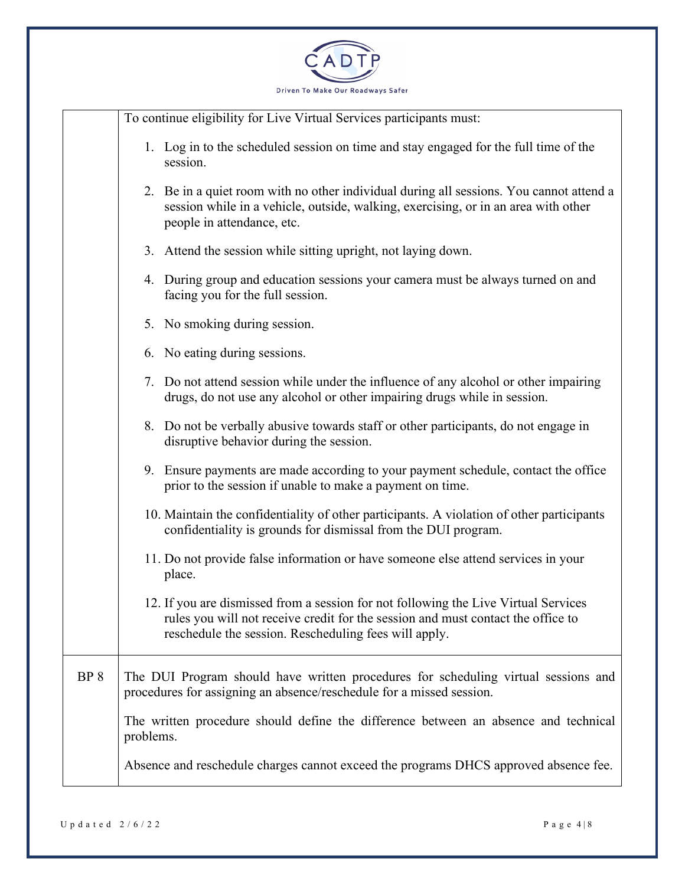

|                 | To continue eligibility for Live Virtual Services participants must:                                                                                                                                                             |
|-----------------|----------------------------------------------------------------------------------------------------------------------------------------------------------------------------------------------------------------------------------|
|                 | 1. Log in to the scheduled session on time and stay engaged for the full time of the<br>session.                                                                                                                                 |
|                 | 2. Be in a quiet room with no other individual during all sessions. You cannot attend a<br>session while in a vehicle, outside, walking, exercising, or in an area with other<br>people in attendance, etc.                      |
|                 | 3. Attend the session while sitting upright, not laying down.                                                                                                                                                                    |
|                 | 4. During group and education sessions your camera must be always turned on and<br>facing you for the full session.                                                                                                              |
|                 | 5. No smoking during session.                                                                                                                                                                                                    |
|                 | 6. No eating during sessions.                                                                                                                                                                                                    |
|                 | 7. Do not attend session while under the influence of any alcohol or other impairing<br>drugs, do not use any alcohol or other impairing drugs while in session.                                                                 |
|                 | 8. Do not be verbally abusive towards staff or other participants, do not engage in<br>disruptive behavior during the session.                                                                                                   |
|                 | 9. Ensure payments are made according to your payment schedule, contact the office<br>prior to the session if unable to make a payment on time.                                                                                  |
|                 | 10. Maintain the confidentiality of other participants. A violation of other participants<br>confidentiality is grounds for dismissal from the DUI program.                                                                      |
|                 | 11. Do not provide false information or have someone else attend services in your<br>place.                                                                                                                                      |
|                 | 12. If you are dismissed from a session for not following the Live Virtual Services<br>rules you will not receive credit for the session and must contact the office to<br>reschedule the session. Rescheduling fees will apply. |
| BP <sub>8</sub> | The DUI Program should have written procedures for scheduling virtual sessions and<br>procedures for assigning an absence/reschedule for a missed session.                                                                       |
|                 | The written procedure should define the difference between an absence and technical<br>problems.                                                                                                                                 |
|                 | Absence and reschedule charges cannot exceed the programs DHCS approved absence fee.                                                                                                                                             |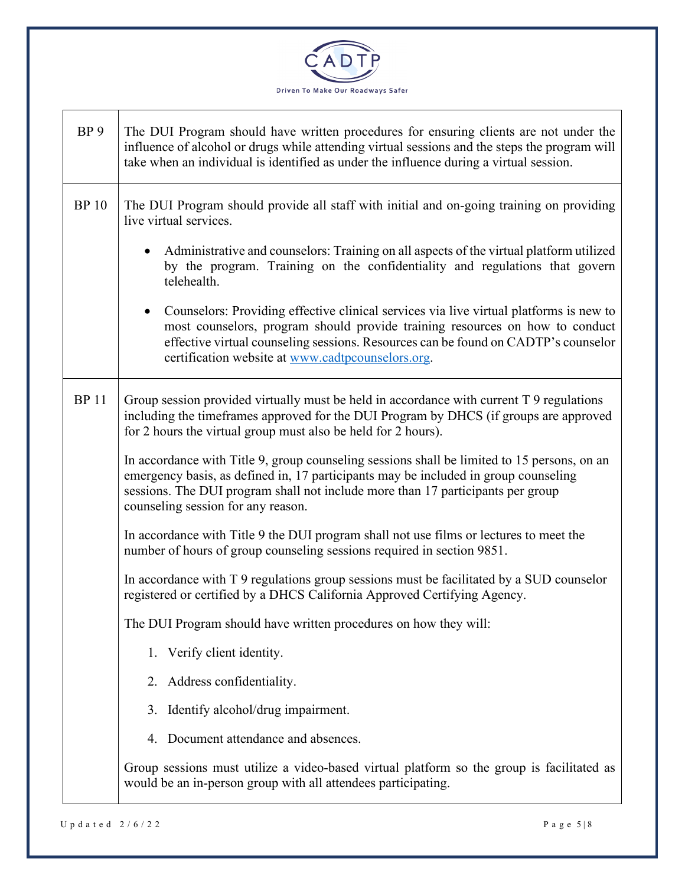

| BP <sub>9</sub> | The DUI Program should have written procedures for ensuring clients are not under the<br>influence of alcohol or drugs while attending virtual sessions and the steps the program will<br>take when an individual is identified as under the influence during a virtual session.                                               |
|-----------------|--------------------------------------------------------------------------------------------------------------------------------------------------------------------------------------------------------------------------------------------------------------------------------------------------------------------------------|
| <b>BP</b> 10    | The DUI Program should provide all staff with initial and on-going training on providing<br>live virtual services.                                                                                                                                                                                                             |
|                 | Administrative and counselors: Training on all aspects of the virtual platform utilized<br>$\bullet$<br>by the program. Training on the confidentiality and regulations that govern<br>telehealth.                                                                                                                             |
|                 | Counselors: Providing effective clinical services via live virtual platforms is new to<br>$\bullet$<br>most counselors, program should provide training resources on how to conduct<br>effective virtual counseling sessions. Resources can be found on CADTP's counselor<br>certification website at www.cadtpcounselors.org. |
| <b>BP11</b>     | Group session provided virtually must be held in accordance with current T 9 regulations<br>including the timeframes approved for the DUI Program by DHCS (if groups are approved<br>for 2 hours the virtual group must also be held for 2 hours).                                                                             |
|                 | In accordance with Title 9, group counseling sessions shall be limited to 15 persons, on an<br>emergency basis, as defined in, 17 participants may be included in group counseling<br>sessions. The DUI program shall not include more than 17 participants per group<br>counseling session for any reason.                    |
|                 | In accordance with Title 9 the DUI program shall not use films or lectures to meet the<br>number of hours of group counseling sessions required in section 9851.                                                                                                                                                               |
|                 | In accordance with T 9 regulations group sessions must be facilitated by a SUD counselor<br>registered or certified by a DHCS California Approved Certifying Agency.                                                                                                                                                           |
|                 | The DUI Program should have written procedures on how they will:                                                                                                                                                                                                                                                               |
|                 | 1. Verify client identity.                                                                                                                                                                                                                                                                                                     |
|                 | Address confidentiality.<br>2.                                                                                                                                                                                                                                                                                                 |
|                 | Identify alcohol/drug impairment.<br>3.                                                                                                                                                                                                                                                                                        |
|                 | Document attendance and absences.<br>4.                                                                                                                                                                                                                                                                                        |
|                 | Group sessions must utilize a video-based virtual platform so the group is facilitated as<br>would be an in-person group with all attendees participating.                                                                                                                                                                     |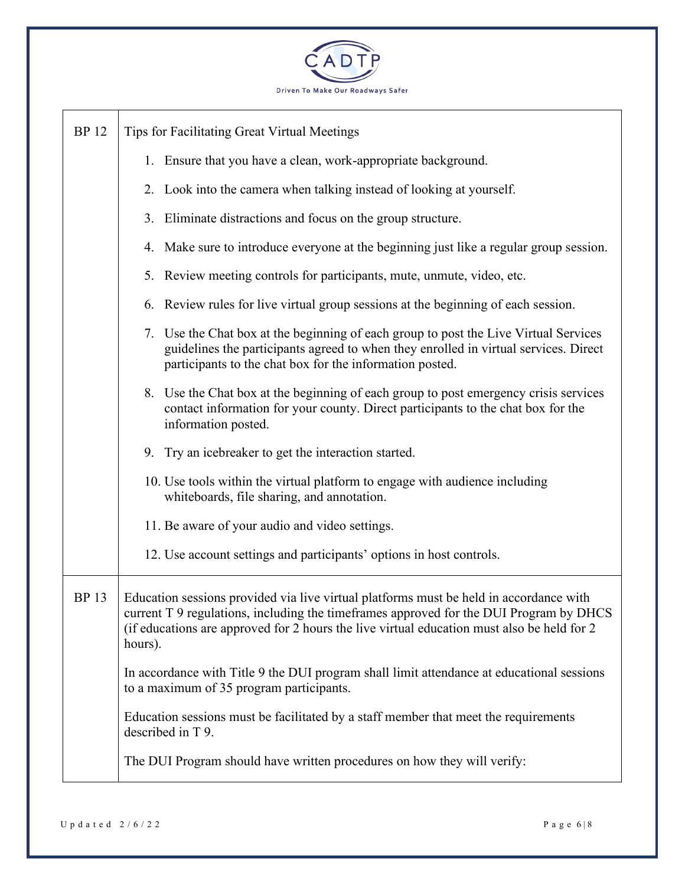

| <b>BP</b> 12 | Tips for Facilitating Great Virtual Meetings                                                                                                                                                                                                                                              |
|--------------|-------------------------------------------------------------------------------------------------------------------------------------------------------------------------------------------------------------------------------------------------------------------------------------------|
|              | 1. Ensure that you have a clean, work-appropriate background.                                                                                                                                                                                                                             |
|              | 2. Look into the camera when talking instead of looking at yourself.                                                                                                                                                                                                                      |
|              | 3. Eliminate distractions and focus on the group structure.                                                                                                                                                                                                                               |
|              | 4. Make sure to introduce everyone at the beginning just like a regular group session.                                                                                                                                                                                                    |
|              | 5. Review meeting controls for participants, mute, unmute, video, etc.                                                                                                                                                                                                                    |
|              | 6. Review rules for live virtual group sessions at the beginning of each session.                                                                                                                                                                                                         |
|              | 7. Use the Chat box at the beginning of each group to post the Live Virtual Services<br>guidelines the participants agreed to when they enrolled in virtual services. Direct<br>participants to the chat box for the information posted.                                                  |
|              | 8. Use the Chat box at the beginning of each group to post emergency crisis services<br>contact information for your county. Direct participants to the chat box for the<br>information posted.                                                                                           |
|              | 9. Try an icebreaker to get the interaction started.                                                                                                                                                                                                                                      |
|              | 10. Use tools within the virtual platform to engage with audience including<br>whiteboards, file sharing, and annotation.                                                                                                                                                                 |
|              | 11. Be aware of your audio and video settings.                                                                                                                                                                                                                                            |
|              | 12. Use account settings and participants' options in host controls.                                                                                                                                                                                                                      |
| <b>BP</b> 13 | Education sessions provided via live virtual platforms must be held in accordance with<br>current T 9 regulations, including the timeframes approved for the DUI Program by DHCS<br>(if educations are approved for 2 hours the live virtual education must also be held for 2<br>hours). |
|              | In accordance with Title 9 the DUI program shall limit attendance at educational sessions<br>to a maximum of 35 program participants.                                                                                                                                                     |
|              | Education sessions must be facilitated by a staff member that meet the requirements<br>described in T 9.                                                                                                                                                                                  |
|              | The DUI Program should have written procedures on how they will verify:                                                                                                                                                                                                                   |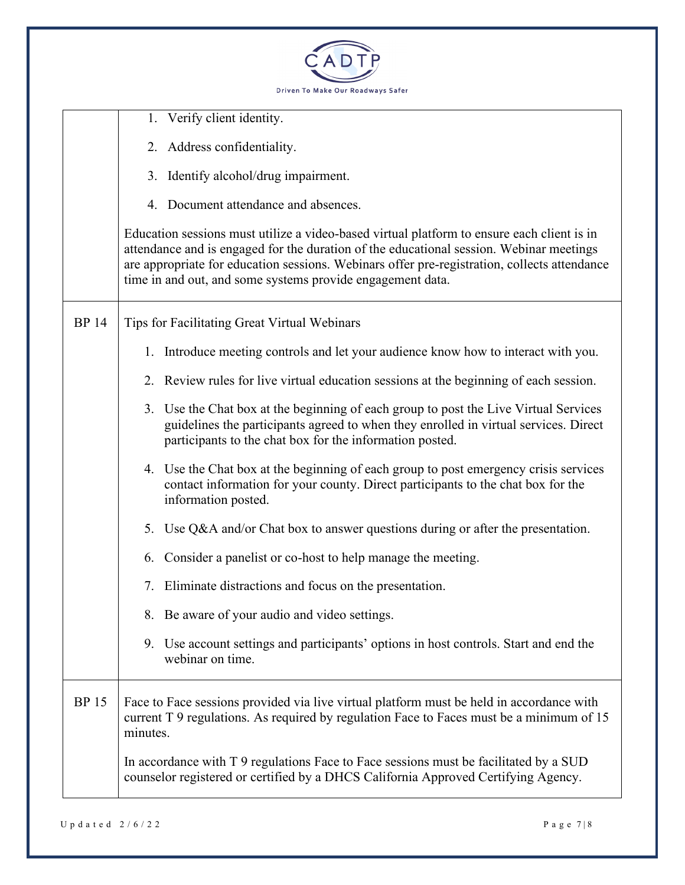

|              | 1. Verify client identity.                                                                                                                                                                                                                                                                                                                          |
|--------------|-----------------------------------------------------------------------------------------------------------------------------------------------------------------------------------------------------------------------------------------------------------------------------------------------------------------------------------------------------|
|              | 2. Address confidentiality.                                                                                                                                                                                                                                                                                                                         |
|              | 3. Identify alcohol/drug impairment.                                                                                                                                                                                                                                                                                                                |
|              | 4. Document attendance and absences.                                                                                                                                                                                                                                                                                                                |
|              | Education sessions must utilize a video-based virtual platform to ensure each client is in<br>attendance and is engaged for the duration of the educational session. Webinar meetings<br>are appropriate for education sessions. Webinars offer pre-registration, collects attendance<br>time in and out, and some systems provide engagement data. |
| <b>BP 14</b> | Tips for Facilitating Great Virtual Webinars                                                                                                                                                                                                                                                                                                        |
|              | 1. Introduce meeting controls and let your audience know how to interact with you.                                                                                                                                                                                                                                                                  |
|              | 2. Review rules for live virtual education sessions at the beginning of each session.                                                                                                                                                                                                                                                               |
|              | 3. Use the Chat box at the beginning of each group to post the Live Virtual Services<br>guidelines the participants agreed to when they enrolled in virtual services. Direct<br>participants to the chat box for the information posted.                                                                                                            |
|              | 4. Use the Chat box at the beginning of each group to post emergency crisis services<br>contact information for your county. Direct participants to the chat box for the<br>information posted.                                                                                                                                                     |
|              | 5. Use Q&A and/or Chat box to answer questions during or after the presentation.                                                                                                                                                                                                                                                                    |
|              | 6. Consider a panelist or co-host to help manage the meeting.                                                                                                                                                                                                                                                                                       |
|              | 7. Eliminate distractions and focus on the presentation.                                                                                                                                                                                                                                                                                            |
|              | 8. Be aware of your audio and video settings.                                                                                                                                                                                                                                                                                                       |
|              | 9. Use account settings and participants' options in host controls. Start and end the<br>webinar on time.                                                                                                                                                                                                                                           |
| <b>BP</b> 15 | Face to Face sessions provided via live virtual platform must be held in accordance with<br>current T 9 regulations. As required by regulation Face to Faces must be a minimum of 15<br>minutes.                                                                                                                                                    |
|              | In accordance with T 9 regulations Face to Face sessions must be facilitated by a SUD<br>counselor registered or certified by a DHCS California Approved Certifying Agency.                                                                                                                                                                         |